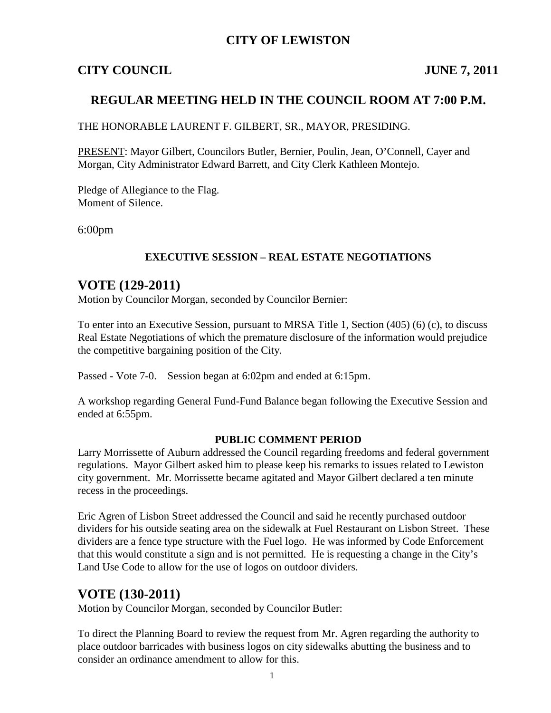## **CITY OF LEWISTON**

## **CITY COUNCIL JUNE 7, 2011**

## **REGULAR MEETING HELD IN THE COUNCIL ROOM AT 7:00 P.M.**

THE HONORABLE LAURENT F. GILBERT, SR., MAYOR, PRESIDING.

PRESENT: Mayor Gilbert, Councilors Butler, Bernier, Poulin, Jean, O'Connell, Cayer and Morgan, City Administrator Edward Barrett, and City Clerk Kathleen Montejo.

Pledge of Allegiance to the Flag. Moment of Silence.

6:00pm

#### **EXECUTIVE SESSION – REAL ESTATE NEGOTIATIONS**

## **VOTE (129-2011)**

Motion by Councilor Morgan, seconded by Councilor Bernier:

To enter into an Executive Session, pursuant to MRSA Title 1, Section (405) (6) (c), to discuss Real Estate Negotiations of which the premature disclosure of the information would prejudice the competitive bargaining position of the City.

Passed - Vote 7-0. Session began at 6:02pm and ended at 6:15pm.

A workshop regarding General Fund-Fund Balance began following the Executive Session and ended at 6:55pm.

#### **PUBLIC COMMENT PERIOD**

Larry Morrissette of Auburn addressed the Council regarding freedoms and federal government regulations. Mayor Gilbert asked him to please keep his remarks to issues related to Lewiston city government. Mr. Morrissette became agitated and Mayor Gilbert declared a ten minute recess in the proceedings.

Eric Agren of Lisbon Street addressed the Council and said he recently purchased outdoor dividers for his outside seating area on the sidewalk at Fuel Restaurant on Lisbon Street. These dividers are a fence type structure with the Fuel logo. He was informed by Code Enforcement that this would constitute a sign and is not permitted. He is requesting a change in the City's Land Use Code to allow for the use of logos on outdoor dividers.

## **VOTE (130-2011)**

Motion by Councilor Morgan, seconded by Councilor Butler:

To direct the Planning Board to review the request from Mr. Agren regarding the authority to place outdoor barricades with business logos on city sidewalks abutting the business and to consider an ordinance amendment to allow for this.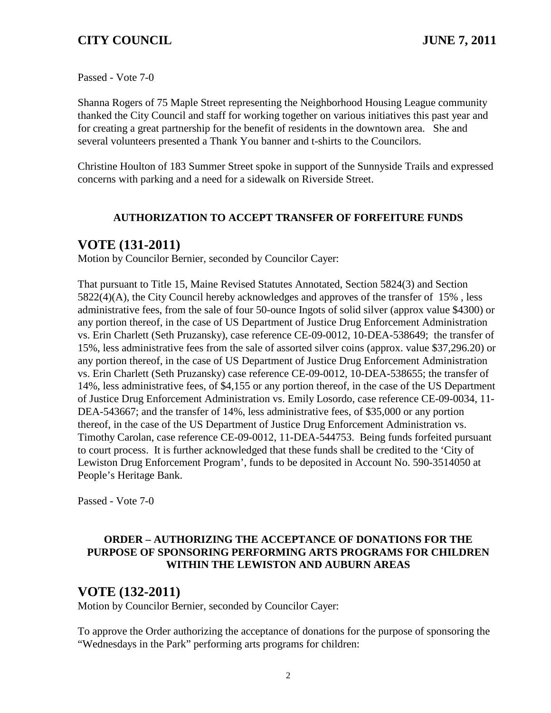Passed - Vote 7-0

Shanna Rogers of 75 Maple Street representing the Neighborhood Housing League community thanked the City Council and staff for working together on various initiatives this past year and for creating a great partnership for the benefit of residents in the downtown area. She and several volunteers presented a Thank You banner and t-shirts to the Councilors.

Christine Houlton of 183 Summer Street spoke in support of the Sunnyside Trails and expressed concerns with parking and a need for a sidewalk on Riverside Street.

### **AUTHORIZATION TO ACCEPT TRANSFER OF FORFEITURE FUNDS**

## **VOTE (131-2011)**

Motion by Councilor Bernier, seconded by Councilor Cayer:

That pursuant to Title 15, Maine Revised Statutes Annotated, Section 5824(3) and Section 5822(4)(A), the City Council hereby acknowledges and approves of the transfer of 15% , less administrative fees, from the sale of four 50-ounce Ingots of solid silver (approx value \$4300) or any portion thereof, in the case of US Department of Justice Drug Enforcement Administration vs. Erin Charlett (Seth Pruzansky), case reference CE-09-0012, 10-DEA-538649; the transfer of 15%, less administrative fees from the sale of assorted silver coins (approx. value \$37,296.20) or any portion thereof, in the case of US Department of Justice Drug Enforcement Administration vs. Erin Charlett (Seth Pruzansky) case reference CE-09-0012, 10-DEA-538655; the transfer of 14%, less administrative fees, of \$4,155 or any portion thereof, in the case of the US Department of Justice Drug Enforcement Administration vs. Emily Losordo, case reference CE-09-0034, 11- DEA-543667; and the transfer of 14%, less administrative fees, of \$35,000 or any portion thereof, in the case of the US Department of Justice Drug Enforcement Administration vs. Timothy Carolan, case reference CE-09-0012, 11-DEA-544753. Being funds forfeited pursuant to court process. It is further acknowledged that these funds shall be credited to the 'City of Lewiston Drug Enforcement Program', funds to be deposited in Account No. 590-3514050 at People's Heritage Bank.

Passed - Vote 7-0

### **ORDER – AUTHORIZING THE ACCEPTANCE OF DONATIONS FOR THE PURPOSE OF SPONSORING PERFORMING ARTS PROGRAMS FOR CHILDREN WITHIN THE LEWISTON AND AUBURN AREAS**

## **VOTE (132-2011)**

Motion by Councilor Bernier, seconded by Councilor Cayer:

To approve the Order authorizing the acceptance of donations for the purpose of sponsoring the "Wednesdays in the Park" performing arts programs for children: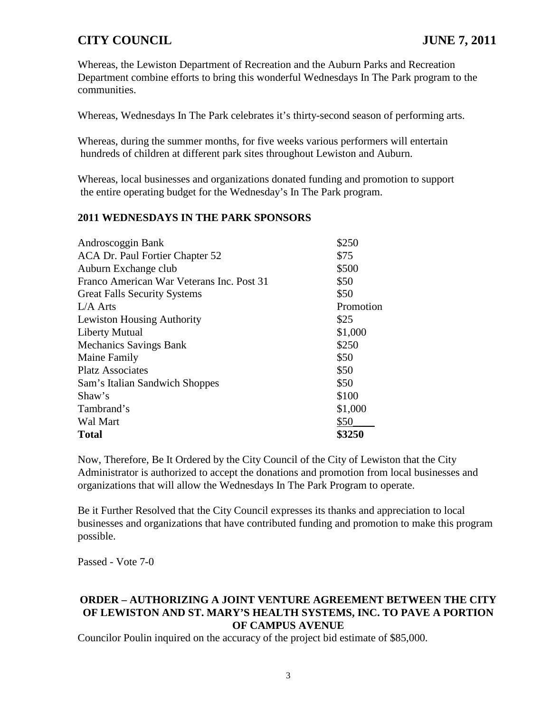Whereas, the Lewiston Department of Recreation and the Auburn Parks and Recreation Department combine efforts to bring this wonderful Wednesdays In The Park program to the communities.

Whereas, Wednesdays In The Park celebrates it's thirty-second season of performing arts.

Whereas, during the summer months, for five weeks various performers will entertain hundreds of children at different park sites throughout Lewiston and Auburn.

Whereas, local businesses and organizations donated funding and promotion to support the entire operating budget for the Wednesday's In The Park program.

#### **2011 WEDNESDAYS IN THE PARK SPONSORS**

| \$250     |
|-----------|
| \$75      |
| \$500     |
| \$50      |
| \$50      |
| Promotion |
| \$25      |
| \$1,000   |
| \$250     |
| \$50      |
| \$50      |
| \$50      |
| \$100     |
| \$1,000   |
| \$50      |
| \$3250    |
|           |

Now, Therefore, Be It Ordered by the City Council of the City of Lewiston that the City Administrator is authorized to accept the donations and promotion from local businesses and organizations that will allow the Wednesdays In The Park Program to operate.

Be it Further Resolved that the City Council expresses its thanks and appreciation to local businesses and organizations that have contributed funding and promotion to make this program possible.

Passed - Vote 7-0

### **ORDER – AUTHORIZING A JOINT VENTURE AGREEMENT BETWEEN THE CITY OF LEWISTON AND ST. MARY'S HEALTH SYSTEMS, INC. TO PAVE A PORTION OF CAMPUS AVENUE**

Councilor Poulin inquired on the accuracy of the project bid estimate of \$85,000.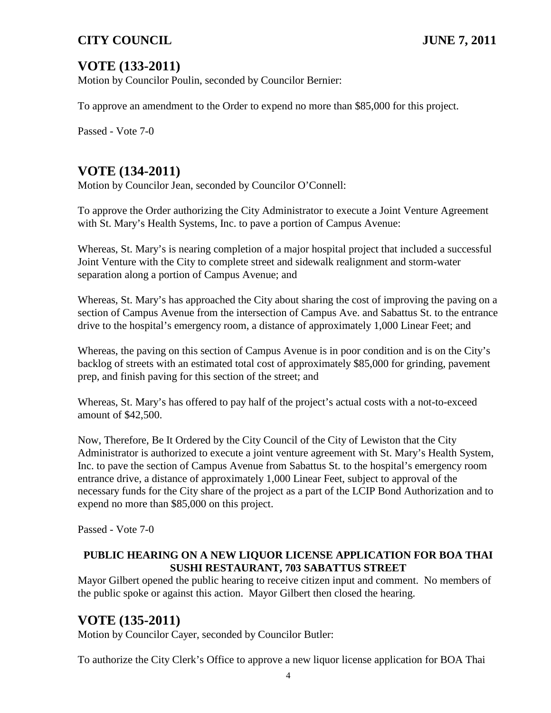# **VOTE (133-2011)**

Motion by Councilor Poulin, seconded by Councilor Bernier:

To approve an amendment to the Order to expend no more than \$85,000 for this project.

Passed - Vote 7-0

# **VOTE (134-2011)**

Motion by Councilor Jean, seconded by Councilor O'Connell:

To approve the Order authorizing the City Administrator to execute a Joint Venture Agreement with St. Mary's Health Systems, Inc. to pave a portion of Campus Avenue:

Whereas, St. Mary's is nearing completion of a major hospital project that included a successful Joint Venture with the City to complete street and sidewalk realignment and storm-water separation along a portion of Campus Avenue; and

Whereas, St. Mary's has approached the City about sharing the cost of improving the paving on a section of Campus Avenue from the intersection of Campus Ave. and Sabattus St. to the entrance drive to the hospital's emergency room, a distance of approximately 1,000 Linear Feet; and

Whereas, the paving on this section of Campus Avenue is in poor condition and is on the City's backlog of streets with an estimated total cost of approximately \$85,000 for grinding, pavement prep, and finish paving for this section of the street; and

Whereas, St. Mary's has offered to pay half of the project's actual costs with a not-to-exceed amount of \$42,500.

Now, Therefore, Be It Ordered by the City Council of the City of Lewiston that the City Administrator is authorized to execute a joint venture agreement with St. Mary's Health System, Inc. to pave the section of Campus Avenue from Sabattus St. to the hospital's emergency room entrance drive, a distance of approximately 1,000 Linear Feet, subject to approval of the necessary funds for the City share of the project as a part of the LCIP Bond Authorization and to expend no more than \$85,000 on this project.

Passed - Vote 7-0

#### **PUBLIC HEARING ON A NEW LIQUOR LICENSE APPLICATION FOR BOA THAI SUSHI RESTAURANT, 703 SABATTUS STREET**

Mayor Gilbert opened the public hearing to receive citizen input and comment. No members of the public spoke or against this action. Mayor Gilbert then closed the hearing.

# **VOTE (135-2011)**

Motion by Councilor Cayer, seconded by Councilor Butler:

To authorize the City Clerk's Office to approve a new liquor license application for BOA Thai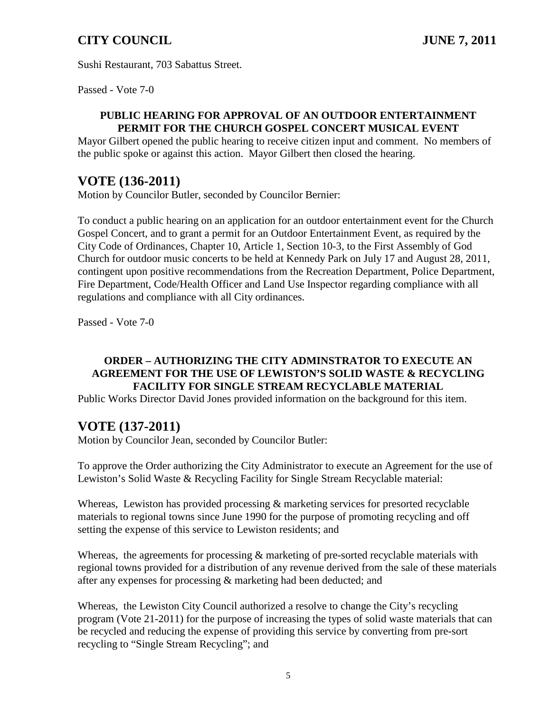Sushi Restaurant, 703 Sabattus Street.

Passed - Vote 7-0

#### **PUBLIC HEARING FOR APPROVAL OF AN OUTDOOR ENTERTAINMENT PERMIT FOR THE CHURCH GOSPEL CONCERT MUSICAL EVENT**

Mayor Gilbert opened the public hearing to receive citizen input and comment. No members of the public spoke or against this action. Mayor Gilbert then closed the hearing.

## **VOTE (136-2011)**

Motion by Councilor Butler, seconded by Councilor Bernier:

To conduct a public hearing on an application for an outdoor entertainment event for the Church Gospel Concert, and to grant a permit for an Outdoor Entertainment Event, as required by the City Code of Ordinances, Chapter 10, Article 1, Section 10-3, to the First Assembly of God Church for outdoor music concerts to be held at Kennedy Park on July 17 and August 28, 2011, contingent upon positive recommendations from the Recreation Department, Police Department, Fire Department, Code/Health Officer and Land Use Inspector regarding compliance with all regulations and compliance with all City ordinances.

Passed - Vote 7-0

## **ORDER – AUTHORIZING THE CITY ADMINSTRATOR TO EXECUTE AN AGREEMENT FOR THE USE OF LEWISTON'S SOLID WASTE & RECYCLING FACILITY FOR SINGLE STREAM RECYCLABLE MATERIAL**

Public Works Director David Jones provided information on the background for this item.

# **VOTE (137-2011)**

Motion by Councilor Jean, seconded by Councilor Butler:

To approve the Order authorizing the City Administrator to execute an Agreement for the use of Lewiston's Solid Waste & Recycling Facility for Single Stream Recyclable material:

Whereas, Lewiston has provided processing & marketing services for presorted recyclable materials to regional towns since June 1990 for the purpose of promoting recycling and off setting the expense of this service to Lewiston residents; and

Whereas, the agreements for processing & marketing of pre-sorted recyclable materials with regional towns provided for a distribution of any revenue derived from the sale of these materials after any expenses for processing & marketing had been deducted; and

Whereas, the Lewiston City Council authorized a resolve to change the City's recycling program (Vote 21-2011) for the purpose of increasing the types of solid waste materials that can be recycled and reducing the expense of providing this service by converting from pre-sort recycling to "Single Stream Recycling"; and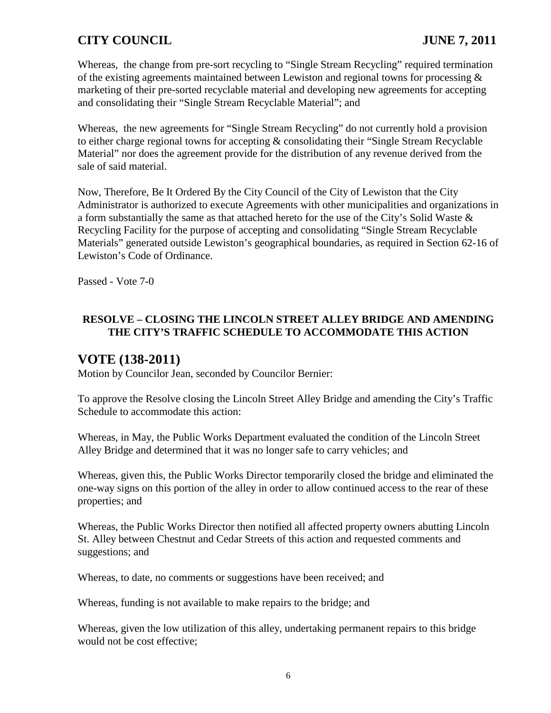Whereas, the change from pre-sort recycling to "Single Stream Recycling" required termination of the existing agreements maintained between Lewiston and regional towns for processing  $\&$ marketing of their pre-sorted recyclable material and developing new agreements for accepting and consolidating their "Single Stream Recyclable Material"; and

Whereas, the new agreements for "Single Stream Recycling" do not currently hold a provision to either charge regional towns for accepting & consolidating their "Single Stream Recyclable Material" nor does the agreement provide for the distribution of any revenue derived from the sale of said material.

Now, Therefore, Be It Ordered By the City Council of the City of Lewiston that the City Administrator is authorized to execute Agreements with other municipalities and organizations in a form substantially the same as that attached hereto for the use of the City's Solid Waste & Recycling Facility for the purpose of accepting and consolidating "Single Stream Recyclable Materials" generated outside Lewiston's geographical boundaries, as required in Section 62-16 of Lewiston's Code of Ordinance.

Passed - Vote 7-0

## **RESOLVE – CLOSING THE LINCOLN STREET ALLEY BRIDGE AND AMENDING THE CITY'S TRAFFIC SCHEDULE TO ACCOMMODATE THIS ACTION**

# **VOTE (138-2011)**

Motion by Councilor Jean, seconded by Councilor Bernier:

To approve the Resolve closing the Lincoln Street Alley Bridge and amending the City's Traffic Schedule to accommodate this action:

Whereas, in May, the Public Works Department evaluated the condition of the Lincoln Street Alley Bridge and determined that it was no longer safe to carry vehicles; and

Whereas, given this, the Public Works Director temporarily closed the bridge and eliminated the one-way signs on this portion of the alley in order to allow continued access to the rear of these properties; and

Whereas, the Public Works Director then notified all affected property owners abutting Lincoln St. Alley between Chestnut and Cedar Streets of this action and requested comments and suggestions; and

Whereas, to date, no comments or suggestions have been received; and

Whereas, funding is not available to make repairs to the bridge; and

Whereas, given the low utilization of this alley, undertaking permanent repairs to this bridge would not be cost effective;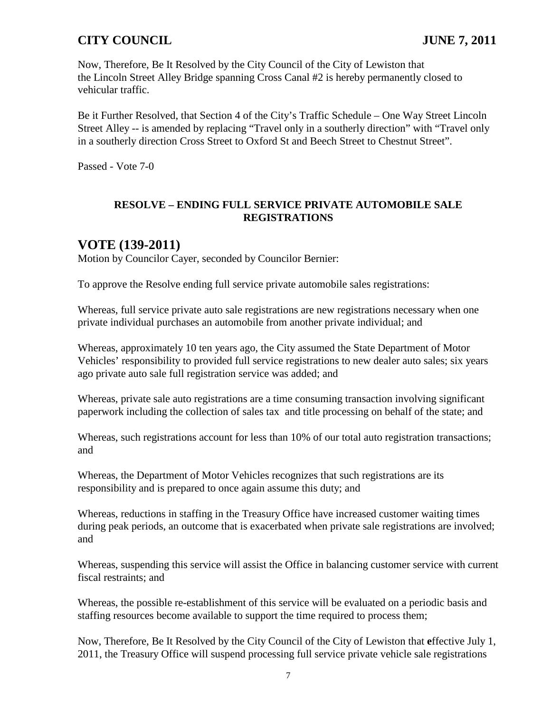Now, Therefore, Be It Resolved by the City Council of the City of Lewiston that the Lincoln Street Alley Bridge spanning Cross Canal #2 is hereby permanently closed to vehicular traffic.

Be it Further Resolved, that Section 4 of the City's Traffic Schedule – One Way Street Lincoln Street Alley -- is amended by replacing "Travel only in a southerly direction" with "Travel only in a southerly direction Cross Street to Oxford St and Beech Street to Chestnut Street".

Passed - Vote 7-0

#### **RESOLVE – ENDING FULL SERVICE PRIVATE AUTOMOBILE SALE REGISTRATIONS**

## **VOTE (139-2011)**

Motion by Councilor Cayer, seconded by Councilor Bernier:

To approve the Resolve ending full service private automobile sales registrations:

Whereas, full service private auto sale registrations are new registrations necessary when one private individual purchases an automobile from another private individual; and

Whereas, approximately 10 ten years ago, the City assumed the State Department of Motor Vehicles' responsibility to provided full service registrations to new dealer auto sales; six years ago private auto sale full registration service was added; and

Whereas, private sale auto registrations are a time consuming transaction involving significant paperwork including the collection of sales tax and title processing on behalf of the state; and

Whereas, such registrations account for less than 10% of our total auto registration transactions; and

Whereas, the Department of Motor Vehicles recognizes that such registrations are its responsibility and is prepared to once again assume this duty; and

Whereas, reductions in staffing in the Treasury Office have increased customer waiting times during peak periods, an outcome that is exacerbated when private sale registrations are involved; and

Whereas, suspending this service will assist the Office in balancing customer service with current fiscal restraints; and

Whereas, the possible re-establishment of this service will be evaluated on a periodic basis and staffing resources become available to support the time required to process them;

Now, Therefore, Be It Resolved by the City Council of the City of Lewiston that **e**ffective July 1, 2011, the Treasury Office will suspend processing full service private vehicle sale registrations